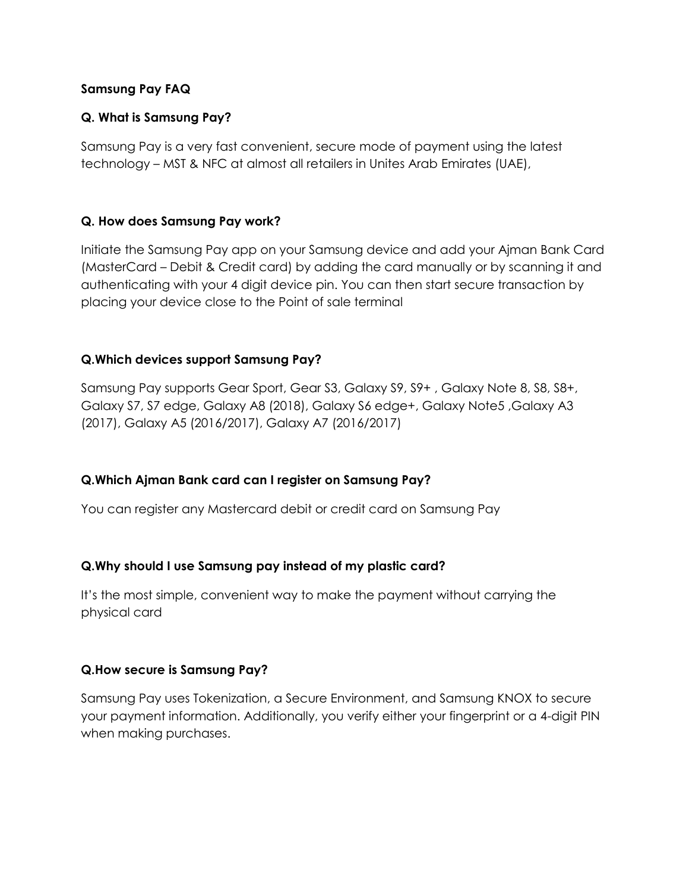### **Samsung Pay FAQ**

# **Q. What is Samsung Pay?**

Samsung Pay is a very fast convenient, secure mode of payment using the latest technology – MST & NFC at almost all retailers in Unites Arab Emirates (UAE),

## **Q. How does Samsung Pay work?**

Initiate the Samsung Pay app on your Samsung device and add your Ajman Bank Card (MasterCard – Debit & Credit card) by adding the card manually or by scanning it and authenticating with your 4 digit device pin. You can then start secure transaction by placing your device close to the Point of sale terminal

## **Q.Which devices support Samsung Pay?**

Samsung Pay supports Gear Sport, Gear S3, Galaxy S9, S9+ , Galaxy Note 8, S8, S8+, Galaxy S7, S7 edge, Galaxy A8 (2018), Galaxy S6 edge+, Galaxy Note5 ,Galaxy A3 (2017), Galaxy A5 (2016/2017), Galaxy A7 (2016/2017)

### **Q.Which Ajman Bank card can I register on Samsung Pay?**

You can register any Mastercard debit or credit card on Samsung Pay

### **Q.Why should I use Samsung pay instead of my plastic card?**

It's the most simple, convenient way to make the payment without carrying the physical card

### **Q.How secure is Samsung Pay?**

Samsung Pay uses Tokenization, a Secure Environment, and Samsung KNOX to secure your payment information. Additionally, you verify either your fingerprint or a 4-digit PIN when making purchases.